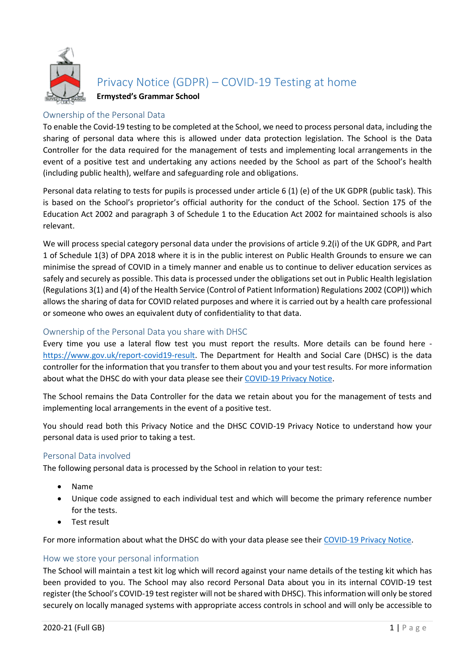

Privacy Notice (GDPR) – COVID-19 Testing at home

**Ermysted's Grammar School**

# Ownership of the Personal Data

To enable the Covid-19 testing to be completed at the School, we need to process personal data, including the sharing of personal data where this is allowed under data protection legislation. The School is the Data Controller for the data required for the management of tests and implementing local arrangements in the event of a positive test and undertaking any actions needed by the School as part of the School's health (including public health), welfare and safeguarding role and obligations.

Personal data relating to tests for pupils is processed under article 6 (1) (e) of the UK GDPR (public task). This is based on the School's proprietor's official authority for the conduct of the School. Section 175 of the Education Act 2002 and paragraph 3 of Schedule 1 to the Education Act 2002 for maintained schools is also relevant.

We will process special category personal data under the provisions of article 9.2(i) of the UK GDPR, and Part 1 of Schedule 1(3) of DPA 2018 where it is in the public interest on Public Health Grounds to ensure we can minimise the spread of COVID in a timely manner and enable us to continue to deliver education services as safely and securely as possible. This data is processed under the obligations set out in Public Health legislation (Regulations 3(1) and (4) of the Health Service (Control of Patient Information) Regulations 2002 (COPI)) which allows the sharing of data for COVID related purposes and where it is carried out by a health care professional or someone who owes an equivalent duty of confidentiality to that data.

# Ownership of the Personal Data you share with DHSC

Every time you use a lateral flow test you must report the results. More details can be found here [https://www.gov.uk/report-covid19-result.](https://www.gov.uk/report-covid19-result) The Department for Health and Social Care (DHSC) is the data controller for the information that you transfer to them about you and your test results. For more information about what the DHSC do with your data please see their [COVID-19 Privacy Notice.](https://www.gov.uk/government/publications/coronavirus-covid-19-testing-privacy-information)

The School remains the Data Controller for the data we retain about you for the management of tests and implementing local arrangements in the event of a positive test.

You should read both this Privacy Notice and the DHSC COVID-19 Privacy Notice to understand how your personal data is used prior to taking a test.

## Personal Data involved

The following personal data is processed by the School in relation to your test:

- Name
- Unique code assigned to each individual test and which will become the primary reference number for the tests.
- Test result

For more information about what the DHSC do with your data please see their [COVID-19 Privacy Notice.](https://www.gov.uk/government/publications/coronavirus-covid-19-testing-privacy-information)

### How we store your personal information

The School will maintain a test kit log which will record against your name details of the testing kit which has been provided to you. The School may also record Personal Data about you in its internal COVID-19 test register (the School's COVID-19 test register will not be shared with DHSC). This information will only be stored securely on locally managed systems with appropriate access controls in school and will only be accessible to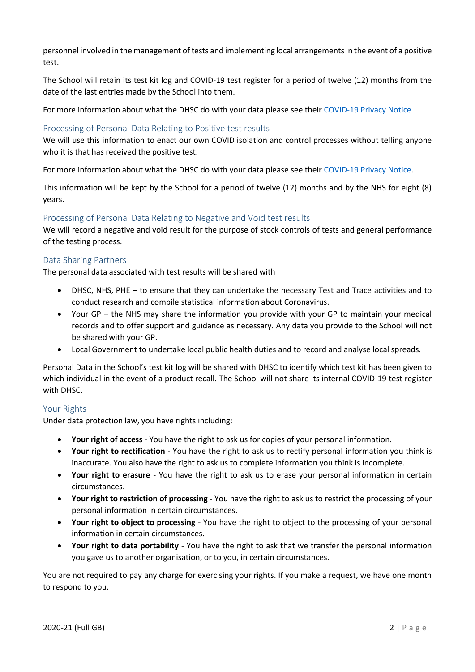personnel involved in the management of tests and implementing local arrangements in the event of a positive test.

The School will retain its test kit log and COVID-19 test register for a period of twelve (12) months from the date of the last entries made by the School into them.

For more information about what the DHSC do with your data please see their [COVID-19 Privacy Notice](https://www.gov.uk/government/publications/coronavirus-covid-19-testing-privacy-information)

## Processing of Personal Data Relating to Positive test results

We will use this information to enact our own COVID isolation and control processes without telling anyone who it is that has received the positive test.

For more information about what the DHSC do with your data please see their [COVID-19 Privacy Notice.](https://www.gov.uk/government/publications/coronavirus-covid-19-testing-privacy-information)

This information will be kept by the School for a period of twelve (12) months and by the NHS for eight (8) years.

### Processing of Personal Data Relating to Negative and Void test results

We will record a negative and void result for the purpose of stock controls of tests and general performance of the testing process.

### Data Sharing Partners

The personal data associated with test results will be shared with

- DHSC, NHS, PHE to ensure that they can undertake the necessary Test and Trace activities and to conduct research and compile statistical information about Coronavirus.
- Your GP the NHS may share the information you provide with your GP to maintain your medical records and to offer support and guidance as necessary. Any data you provide to the School will not be shared with your GP.
- Local Government to undertake local public health duties and to record and analyse local spreads.

Personal Data in the School's test kit log will be shared with DHSC to identify which test kit has been given to which individual in the event of a product recall. The School will not share its internal COVID-19 test register with DHSC.

### Your Rights

Under data protection law, you have rights including:

- **Your right of access** You have the right to ask us for copies of your personal information.
- **Your right to rectification** You have the right to ask us to rectify personal information you think is inaccurate. You also have the right to ask us to complete information you think is incomplete.
- **Your right to erasure** You have the right to ask us to erase your personal information in certain circumstances.
- **Your right to restriction of processing** You have the right to ask us to restrict the processing of your personal information in certain circumstances.
- **Your right to object to processing** You have the right to object to the processing of your personal information in certain circumstances.
- **Your right to data portability** You have the right to ask that we transfer the personal information you gave us to another organisation, or to you, in certain circumstances.

You are not required to pay any charge for exercising your rights. If you make a request, we have one month to respond to you.